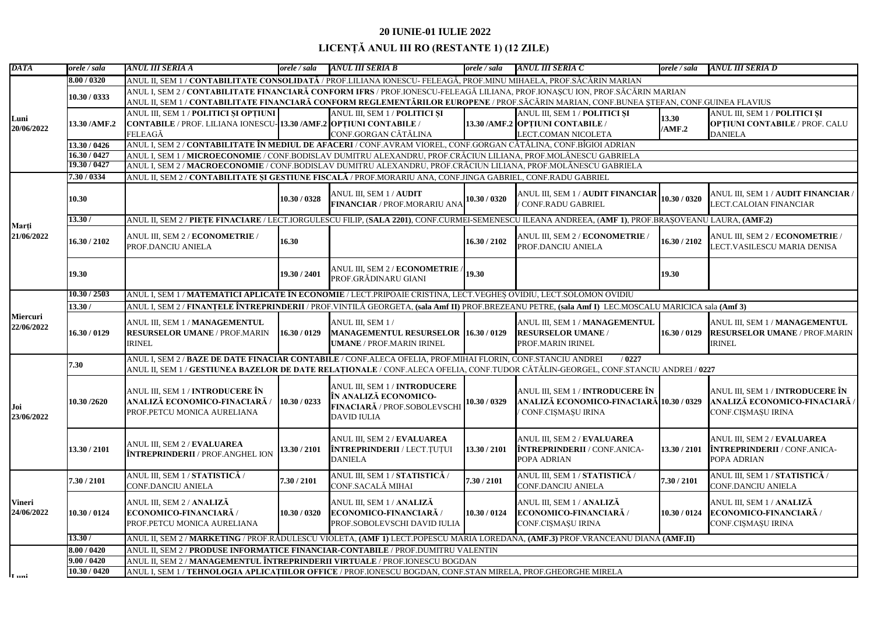| DATA                          | orele / sala  | ANUL III SERIA A                                                                                                                                     | orele / sala | ANUL III SERIA B                                                                                                    | orele / sala | ANUL III SERIA C                                                                                            | orele / sala    | ANUL III SERIA D                                                                               |  |  |
|-------------------------------|---------------|------------------------------------------------------------------------------------------------------------------------------------------------------|--------------|---------------------------------------------------------------------------------------------------------------------|--------------|-------------------------------------------------------------------------------------------------------------|-----------------|------------------------------------------------------------------------------------------------|--|--|
| Luni<br>20/06/2022            | 8.00 / 0320   | ANUL II, SEM 1 / <b>CONTABILITATE CONSOLIDATĂ</b> / PROF.LILIANA IONESCU- FELEAGĂ, PROF.MINU MIHAELA, PROF.SĂCĂRIN MARIAN                            |              |                                                                                                                     |              |                                                                                                             |                 |                                                                                                |  |  |
|                               |               | ANUL I, SEM 2 / CONTABILITATE FINANCIARĂ CONFORM IFRS / PROF.IONESCU-FELEAGĂ LILIANA, PROF.IONAȘCU ION, PROF.SĂCĂRIN MARIAN                          |              |                                                                                                                     |              |                                                                                                             |                 |                                                                                                |  |  |
|                               | 10.30 / 0333  | ANUL II, SEM 1 / CONTABILITATE FINANCIARĂ CONFORM REGLEMENTĂRILOR EUROPENE / PROF.SĂCĂRIN MARIAN, CONF.BUNEA ȘTEFAN, CONF.GUINEA FLAVIUS             |              |                                                                                                                     |              |                                                                                                             |                 |                                                                                                |  |  |
|                               | 13.30 / AMF.2 | ANUL III, SEM 1 / POLITICI ȘI OPȚIUNI                                                                                                                |              | ANUL III, SEM 1 / POLITICI ȘI                                                                                       |              | ANUL III, SEM 1 / POLITICI ȘI                                                                               | 13.30<br>/AMF.2 | ANUL III, SEM 1 / POLITICI ȘI                                                                  |  |  |
|                               |               | CONTABILE / PROF. LILIANA IONESCU- 13.30 /AMF.2 OPȚIUNI CONTABILE /                                                                                  |              |                                                                                                                     |              | 13.30 /AMF.2 OPTIUNI CONTABILE /                                                                            |                 | <b>OPTIUNI CONTABILE / PROF. CALU</b>                                                          |  |  |
|                               |               | FELEAGĂ                                                                                                                                              |              | CONF.GORGAN CĂTĂLINA                                                                                                |              | <b>LECT.COMAN NICOLETA</b>                                                                                  |                 | <b>DANIELA</b>                                                                                 |  |  |
|                               | 13.30 / 0426  | ANUL I, SEM 2 / <b>CONTABILITATE ÎN MEDIUL DE AFACERI</b> / CONF.AVRAM VIOREL, CONF.GORGAN CĂTĂLINA, CONF.BÎGIOI ADRIAN                              |              |                                                                                                                     |              |                                                                                                             |                 |                                                                                                |  |  |
|                               | 16.30 / 0427  | ANUL I, SEM 1 / MICROECONOMIE / CONF.BODISLAV DUMITRU ALEXANDRU, PROF.CRĂCIUN LILIANA, PROF.MOLĂNESCU GABRIELA                                       |              |                                                                                                                     |              |                                                                                                             |                 |                                                                                                |  |  |
|                               | 19.30 / 0427  | ANUL I, SEM 2 / <b>MACROECONOMIE</b> / CONF.BODISLAV DUMITRU ALEXANDRU, PROF.CRĂCIUN LILIANA, PROF.MOLĂNESCU GABRIELA                                |              |                                                                                                                     |              |                                                                                                             |                 |                                                                                                |  |  |
|                               | 7.30/0334     | ANUL II, SEM 2 / CONTABILITATE ȘI GESTIUNE FISCALĂ / PROF.MORARIU ANA, CONF.JINGA GABRIEL, CONF.RADU GABRIEL                                         |              |                                                                                                                     |              |                                                                                                             |                 |                                                                                                |  |  |
|                               | 10.30         |                                                                                                                                                      | 10.30 / 0328 | ANUL III, SEM 1 / AUDIT<br><b>FINANCIAR</b> / PROF.MORARIU ANA 10.30 / 0320                                         |              | ANUL III, SEM 1 / AUDIT FINANCIAR 10.30 / 0320<br>CONF.RADU GABRIEL                                         |                 | ANUL III, SEM 1 / AUDIT FINANCIAR /<br>LECT.CALOIAN FINANCIAR                                  |  |  |
|                               | 13.30/        | ANUL II, SEM 2 / PIETE FINACIARE / LECT.IORGULESCU FILIP, (SALA 2201), CONF.CURMEI-SEMENESCU ILEANA ANDREEA, (AMF 1), PROF.BRASOVEANU LAURA, (AMF.2) |              |                                                                                                                     |              |                                                                                                             |                 |                                                                                                |  |  |
| Marți<br>21/06/2022           | 16.30 / 2102  | ANUL III, SEM 2 / ECONOMETRIE /<br>PROF.DANCIU ANIELA                                                                                                | 16.30        |                                                                                                                     | 16.30 / 2102 | ANUL III, SEM 2 / ECONOMETRIE<br>PROF.DANCIU ANIELA                                                         | 16.30 / 2102    | ANUL III, SEM 2 / ECONOMETRIE /<br>LECT.VASILESCU MARIA DENISA                                 |  |  |
|                               | 19.30         |                                                                                                                                                      | 19.30 / 2401 | ANUL III, SEM 2 / ECONOMETRIE /<br>PROF.GRĂDINARU GIANI                                                             | 19.30        |                                                                                                             | 19.30           |                                                                                                |  |  |
|                               | 10.30 / 2503  | ANUL I, SEM 1 / MATEMATICI APLICATE ÎN ECONOMIE / LECT.PRIPOAIE CRISTINA, LECT.VEGHES OVIDIU, LECT.SOLOMON OVIDIU                                    |              |                                                                                                                     |              |                                                                                                             |                 |                                                                                                |  |  |
|                               | 13.30/        | ANUL I, SEM 2 / FINANȚELE ÎNTREPRINDERII / PROF.VINTILĂ GEORGETA, (sala Amf II) PROF.BREZEANU PETRE, (sala Amf I) LEC.MOSCALU MARICICA sala (Amf 3)  |              |                                                                                                                     |              |                                                                                                             |                 |                                                                                                |  |  |
| <b>Miercuri</b><br>22/06/2022 | 16.30 / 0129  | ANUL III, SEM 1 / MANAGEMENTUL<br><b>RESURSELOR UMANE / PROF.MARIN</b><br><b>IRINEL</b>                                                              | 16.30 / 0129 | ANUL III, SEM 1 /<br>MANAGEMENTUL RESURSELOR 16.30 / 0129<br><b>UMANE / PROF.MARIN IRINEL</b>                       |              | ANUL III, SEM 1 / MANAGEMENTUL<br><b>RESURSELOR UMANE /</b><br>PROF.MARIN IRINEL                            | 16.30 / 0129    | ANUL III, SEM 1 / MANAGEMENTUL<br><b>RESURSELOR UMANE / PROF.MARIN</b><br><b>IRINEL</b>        |  |  |
|                               |               | ANUL I, SEM 2 / BAZE DE DATE FINACIAR CONTABILE / CONF.ALECA OFELIA, PROF.MIHAI FLORIN, CONF.STANCIU ANDREI<br>/0227                                 |              |                                                                                                                     |              |                                                                                                             |                 |                                                                                                |  |  |
|                               | 7.30          | ANUL II, SEM 1 / GESTIUNEA BAZELOR DE DATE RELAȚIONALE / CONF.ALECA OFELIA, CONF.TUDOR CĂTĂLIN-GEORGEL, CONF.STANCIU ANDREI / 0227                   |              |                                                                                                                     |              |                                                                                                             |                 |                                                                                                |  |  |
| Joi<br>23/06/2022             | 10.30 /2620   | ANUL III, SEM 1 / <b>INTRODUCERE</b> ÎN<br>ANALIZĂ ECONOMICO-FINACIARĂ /<br>PROF.PETCU MONICA AURELIANA                                              | 10.30 / 0233 | ANUL III, SEM 1 / <b>INTRODUCERE</b><br>ÎN ANALIZĂ ECONOMICO-<br>FINACIARĂ / PROF.SOBOLEVSCHI<br><b>DAVID IULIA</b> | 10.30 / 0329 | ANUL III, SEM 1 / <b>INTRODUCERE</b> ÎN<br>ANALIZĂ ECONOMICO-FINACIARĂ 10.30 / 0329<br>' CONF.CIȘMAȘU IRINA |                 | ANUL III, SEM 1 / <b>INTRODUCERE</b> ÎN<br>ANALIZĂ ECONOMICO-FINACIARĂ /<br>CONF.CIȘMAȘU IRINA |  |  |
|                               | 13.30 / 2101  | ANUL III, SEM 2 / EVALUAREA<br><b>ÎNTREPRINDERII / PROF.ANGHEL ION</b>                                                                               | 13.30 / 2101 | ANUL III, SEM 2 / EVALUAREA<br><b>ÎNTREPRINDERII / LECT.TUTUI</b><br><b>DANIELA</b>                                 | 13.30 / 2101 | ANUL III, SEM 2 / EVALUAREA<br><b>ÎNTREPRINDERII</b> / CONF.ANICA-<br>POPA ADRIAN                           | 13.30 / 2101    | ANUL III, SEM 2 / EVALUAREA<br><b>ÎNTREPRINDERII</b> / CONF.ANICA-<br>POPA ADRIAN              |  |  |
| <b>Vineri</b><br>24/06/2022   | 7.30 / 2101   | ANUL III, SEM 1 / STATISTICĂ /<br><b>CONF.DANCIU ANIELA</b>                                                                                          | 7.30 / 2101  | ANUL III, SEM 1 / STATISTICĂ /<br>CONF.SACALĂ MIHAI                                                                 | 7.30 / 2101  | ANUL III, SEM 1 / STATISTICĂ /<br><b>CONF.DANCIU ANIELA</b>                                                 | 7.30 / 2101     | ANUL III, SEM 1 / STATISTICĂ /<br><b>CONF.DANCIU ANIELA</b>                                    |  |  |
|                               | 10.30 / 0124  | ANUL III, SEM 2 / ANALIZĂ<br>ECONOMICO-FINANCIARĂ /<br>PROF.PETCU MONICA AURELIANA                                                                   | 10.30 / 0320 | ANUL III, SEM 1 / ANALIZĂ<br><b>ECONOMICO-FINANCIARĂ</b><br>PROF.SOBOLEVSCHI DAVID IULIA                            | 10.30 / 0124 | ANUL III, SEM 1 / ANALIZĂ<br>ECONOMICO-FINANCIARĂ /<br>CONF.CIȘMAȘU IRINA                                   | 10.30 / 0124    | ANUL III, SEM 1 / ANALIZĂ<br>ECONOMICO-FINANCIARĂ /<br>CONF.CIȘMAȘU IRINA                      |  |  |
|                               | 13.30/        | ANUL II, SEM 2 / MARKETING / PROF.RĂDULESCU VIOLETA, (AMF 1) LECT.POPESCU MARIA LOREDANA, (AMF.3) PROF.VRÂNCEANU DIANA (AMF.II)                      |              |                                                                                                                     |              |                                                                                                             |                 |                                                                                                |  |  |
|                               | 8.00 / 0420   | ANUL II, SEM 2 / PRODUSE INFORMATICE FINANCIAR-CONTABILE / PROF.DUMITRU VALENTIN                                                                     |              |                                                                                                                     |              |                                                                                                             |                 |                                                                                                |  |  |
| lT …ni                        | 9.00 / 0420   | ANUL II, SEM 2 / MANAGEMENTUL ÎNTREPRINDERII VIRTUALE / PROF.IONESCU BOGDAN                                                                          |              |                                                                                                                     |              |                                                                                                             |                 |                                                                                                |  |  |
|                               | 10.30 / 0420  | ANUL I, SEM 1 / TEHNOLOGIA APLICATIILOR OFFICE / PROF.IONESCU BOGDAN, CONF.STAN MIRELA, PROF.GHEORGHE MIRELA                                         |              |                                                                                                                     |              |                                                                                                             |                 |                                                                                                |  |  |

## **20 IUNIE-01 IULIE 2022 LICENȚĂ ANUL III RO (RESTANTE 1) (12 ZILE)**